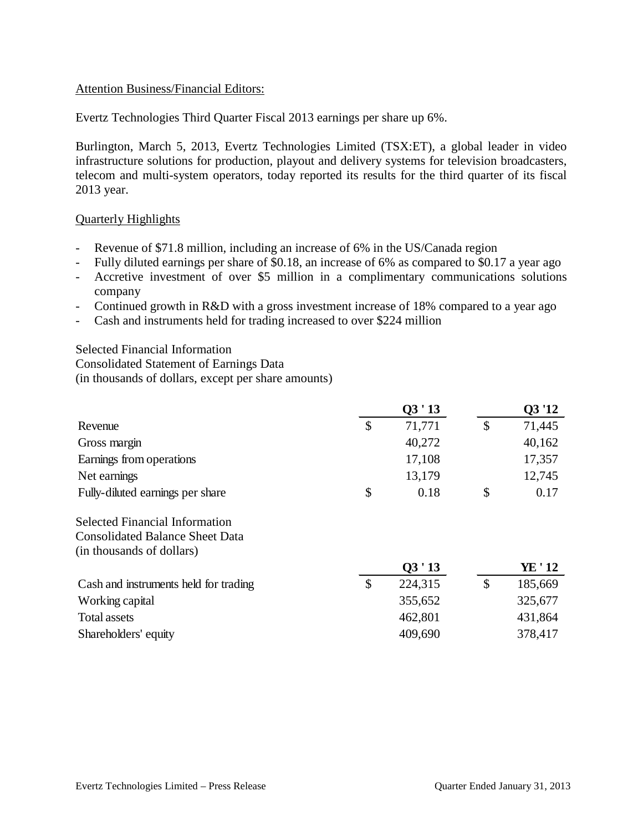## Attention Business/Financial Editors:

Evertz Technologies Third Quarter Fiscal 2013 earnings per share up 6%.

Burlington, March 5, 2013, Evertz Technologies Limited (TSX:ET), a global leader in video infrastructure solutions for production, playout and delivery systems for television broadcasters, telecom and multi-system operators, today reported its results for the third quarter of its fiscal 2013 year.

## Quarterly Highlights

- Revenue of \$71.8 million, including an increase of 6% in the US/Canada region
- Fully diluted earnings per share of \$0.18, an increase of 6% as compared to \$0.17 a year ago
- Accretive investment of over \$5 million in a complimentary communications solutions company
- Continued growth in R&D with a gross investment increase of 18% compared to a year ago
- Cash and instruments held for trading increased to over \$224 million

Selected Financial Information Consolidated Statement of Earnings Data (in thousands of dollars, except per share amounts)

|                                  | Q3'13        | Q3'12  |
|----------------------------------|--------------|--------|
| Revenue                          | \$<br>71,771 | 71,445 |
| Gross margin                     | 40,272       | 40,162 |
| Earnings from operations         | 17,108       | 17,357 |
| Net earnings                     | 13,179       | 12,745 |
| Fully-diluted earnings per share | \$<br>0.18   | 0.17   |

Selected Financial Information Consolidated Balance Sheet Data (in thousands of dollars)

|                                       | Q3'13   | YE ' 12 |
|---------------------------------------|---------|---------|
| Cash and instruments held for trading | 224,315 | 185,669 |
| Working capital                       | 355,652 | 325,677 |
| Total assets                          | 462,801 | 431,864 |
| Shareholders' equity                  | 409,690 | 378,417 |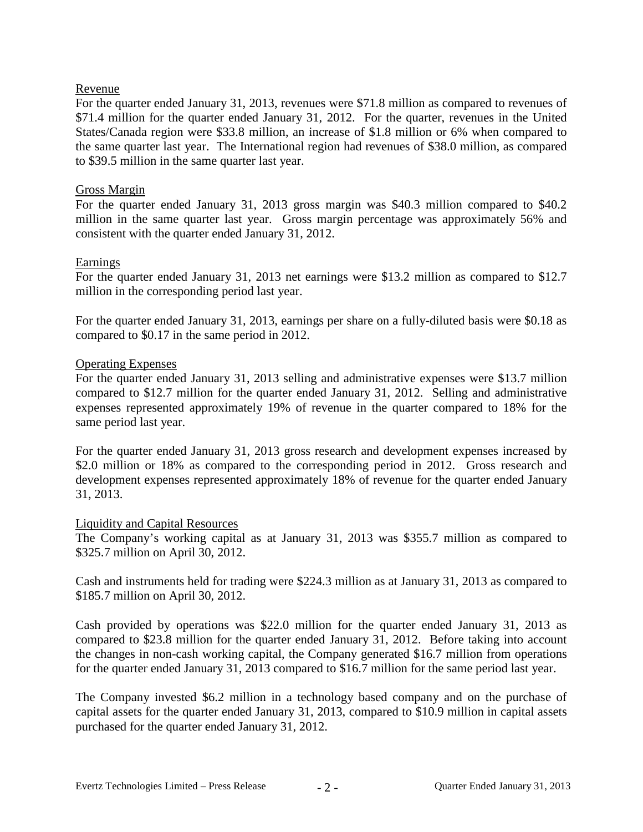# Revenue

For the quarter ended January 31, 2013, revenues were \$71.8 million as compared to revenues of \$71.4 million for the quarter ended January 31, 2012. For the quarter, revenues in the United States/Canada region were \$33.8 million, an increase of \$1.8 million or 6% when compared to the same quarter last year. The International region had revenues of \$38.0 million, as compared to \$39.5 million in the same quarter last year.

# Gross Margin

For the quarter ended January 31, 2013 gross margin was \$40.3 million compared to \$40.2 million in the same quarter last year. Gross margin percentage was approximately 56% and consistent with the quarter ended January 31, 2012.

# Earnings

For the quarter ended January 31, 2013 net earnings were \$13.2 million as compared to \$12.7 million in the corresponding period last year.

For the quarter ended January 31, 2013, earnings per share on a fully-diluted basis were \$0.18 as compared to \$0.17 in the same period in 2012.

# Operating Expenses

For the quarter ended January 31, 2013 selling and administrative expenses were \$13.7 million compared to \$12.7 million for the quarter ended January 31, 2012. Selling and administrative expenses represented approximately 19% of revenue in the quarter compared to 18% for the same period last year.

For the quarter ended January 31, 2013 gross research and development expenses increased by \$2.0 million or 18% as compared to the corresponding period in 2012. Gross research and development expenses represented approximately 18% of revenue for the quarter ended January 31, 2013.

## Liquidity and Capital Resources

The Company's working capital as at January 31, 2013 was \$355.7 million as compared to \$325.7 million on April 30, 2012.

Cash and instruments held for trading were \$224.3 million as at January 31, 2013 as compared to \$185.7 million on April 30, 2012.

Cash provided by operations was \$22.0 million for the quarter ended January 31, 2013 as compared to \$23.8 million for the quarter ended January 31, 2012. Before taking into account the changes in non-cash working capital, the Company generated \$16.7 million from operations for the quarter ended January 31, 2013 compared to \$16.7 million for the same period last year.

The Company invested \$6.2 million in a technology based company and on the purchase of capital assets for the quarter ended January 31, 2013, compared to \$10.9 million in capital assets purchased for the quarter ended January 31, 2012.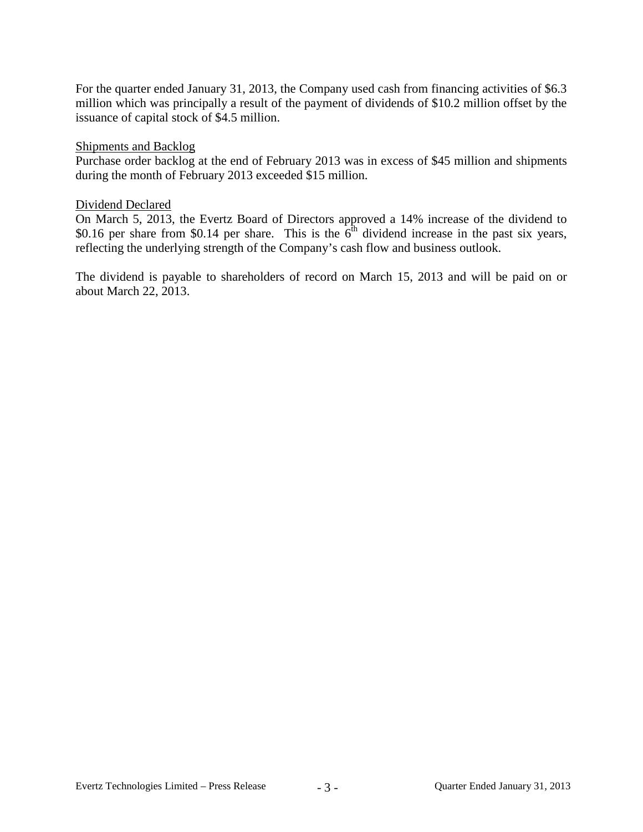For the quarter ended January 31, 2013, the Company used cash from financing activities of \$6.3 million which was principally a result of the payment of dividends of \$10.2 million offset by the issuance of capital stock of \$4.5 million.

#### Shipments and Backlog

Purchase order backlog at the end of February 2013 was in excess of \$45 million and shipments during the month of February 2013 exceeded \$15 million.

## Dividend Declared

On March 5, 2013, the Evertz Board of Directors approved a 14% increase of the dividend to \$0.16 per share from \$0.14 per share. This is the  $\overline{6}^{\text{th}}$  dividend increase in the past six years, reflecting the underlying strength of the Company's cash flow and business outlook.

The dividend is payable to shareholders of record on March 15, 2013 and will be paid on or about March 22, 2013.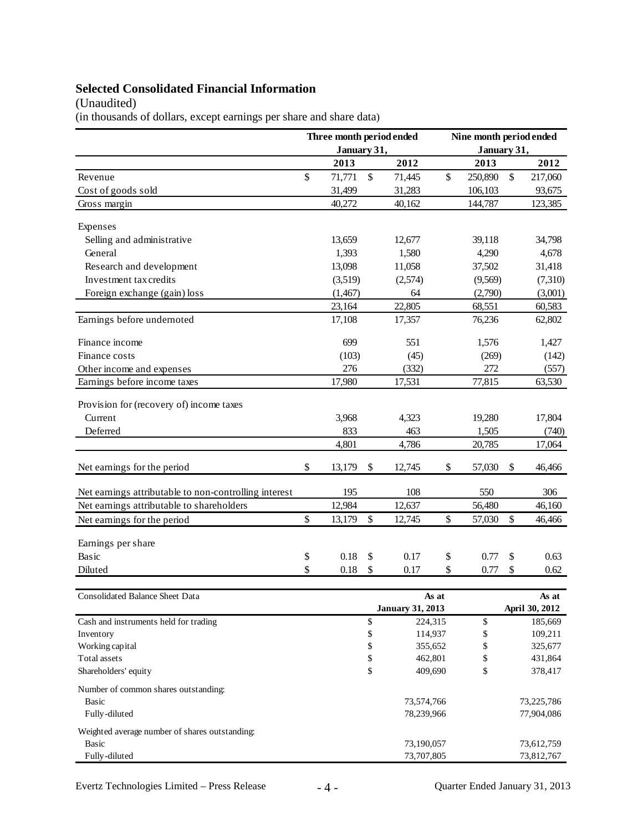# **Selected Consolidated Financial Information**

# (Unaudited)

(in thousands of dollars, except earnings per share and share data)

|                                                       | Three month period ended         |             |    |                | Nine month period ended |          |      |            |
|-------------------------------------------------------|----------------------------------|-------------|----|----------------|-------------------------|----------|------|------------|
|                                                       |                                  | January 31, |    |                | January 31,             |          |      |            |
|                                                       |                                  | 2013        |    | 2012           |                         | 2013     |      | 2012       |
| Revenue                                               | \$                               | 71,771      | \$ | 71,445         | \$                      | 250,890  | $\$$ | 217,060    |
| Cost of goods sold                                    |                                  | 31,499      |    | 31,283         |                         | 106,103  |      | 93,675     |
| Gross margin                                          |                                  | 40,272      |    | 40,162         |                         | 144,787  |      | 123,385    |
|                                                       |                                  |             |    |                |                         |          |      |            |
| Expenses                                              |                                  |             |    |                |                         |          |      |            |
| Selling and administrative                            |                                  | 13,659      |    | 12,677         |                         | 39,118   |      | 34,798     |
| General                                               |                                  | 1,393       |    | 1,580          |                         | 4,290    |      | 4,678      |
| Research and development                              |                                  | 13,098      |    | 11,058         |                         | 37,502   |      | 31,418     |
| Investment tax credits                                |                                  | (3,519)     |    | (2,574)        |                         | (9,569)  |      | (7,310)    |
| Foreign exchange (gain) loss                          |                                  | (1,467)     |    | 64             |                         | (2,790)  |      | (3,001)    |
|                                                       |                                  | 23,164      |    | 22,805         |                         | 68,551   |      | 60,583     |
| Earnings before undernoted                            |                                  | 17,108      |    | 17,357         |                         | 76,236   |      | 62,802     |
| Finance income                                        |                                  | 699         |    | 551            |                         | 1,576    |      | 1,427      |
| Finance costs                                         |                                  | (103)       |    | (45)           |                         | (269)    |      | (142)      |
| Other income and expenses                             |                                  | 276         |    | (332)          |                         | 272      |      | (557)      |
| Earnings before income taxes                          |                                  | 17,980      |    | 17,531         |                         | 77,815   |      | 63,530     |
|                                                       |                                  |             |    |                |                         |          |      |            |
| Provision for (recovery of) income taxes              |                                  |             |    |                |                         |          |      |            |
| Current                                               |                                  | 3,968       |    | 4,323          |                         | 19,280   |      | 17,804     |
| Deferred                                              |                                  | 833         |    | 463            |                         | 1,505    |      | (740)      |
|                                                       |                                  | 4,801       |    | 4,786          |                         | 20,785   |      | 17,064     |
| Net earnings for the period                           | \$                               | 13,179      | \$ | 12,745         | \$                      | 57,030   | \$   | 46,466     |
| Net earnings attributable to non-controlling interest |                                  | 195         |    | 108            |                         | 550      |      | 306        |
| Net earnings attributable to shareholders             |                                  | 12,984      |    | 12,637         |                         | 56,480   |      | 46,160     |
| Net earnings for the period                           | \$                               | 13,179      | \$ | 12,745         | \$                      | 57,030   | \$   | 46,466     |
|                                                       |                                  |             |    |                |                         |          |      |            |
| Earnings per share                                    |                                  |             |    |                |                         |          |      |            |
| Basic                                                 | \$                               | 0.18        | \$ | 0.17           | \$                      | 0.77     | \$   | 0.63       |
| Diluted                                               | \$                               | 0.18        | \$ | 0.17           | \$                      | 0.77     | \$   | 0.62       |
| Consolidated Balance Sheet Data                       |                                  |             |    |                |                         |          |      | As at      |
|                                                       | As at<br><b>January 31, 2013</b> |             |    | April 30, 2012 |                         |          |      |            |
| Cash and instruments held for trading                 |                                  |             | \$ | 224,315        |                         | \$       |      | 185,669    |
| Inventory                                             |                                  |             | \$ | 114,937        |                         | \$       |      | 109,211    |
| Working capital                                       |                                  |             | \$ | 355,652        |                         | \$       |      | 325,677    |
| Total assets                                          |                                  |             | \$ |                | 462,801                 |          |      | 431,864    |
| Shareholders' equity                                  |                                  |             | \$ | 409,690        |                         | \$<br>\$ |      | 378,417    |
|                                                       |                                  |             |    |                |                         |          |      |            |
| Number of common shares outstanding:                  |                                  |             |    |                |                         |          |      |            |
| <b>Basic</b>                                          |                                  |             |    | 73,574,766     |                         |          |      | 73,225,786 |
| Fully-diluted                                         |                                  |             |    | 78,239,966     |                         |          |      | 77,904,086 |
| Weighted average number of shares outstanding:        |                                  |             |    |                |                         |          |      |            |
| <b>Basic</b>                                          |                                  |             |    | 73,190,057     |                         |          |      | 73,612,759 |
| Fully-diluted                                         |                                  |             |    | 73,707,805     |                         |          |      | 73,812,767 |